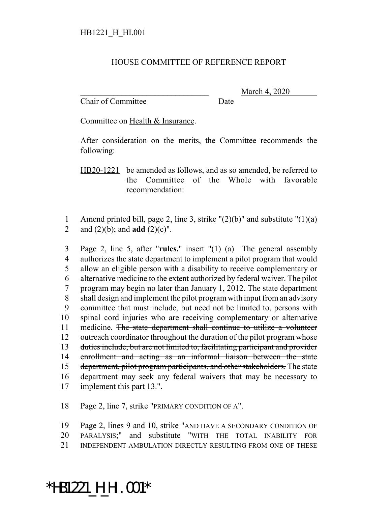## HOUSE COMMITTEE OF REFERENCE REPORT

Chair of Committee Date

March 4, 2020

Committee on Health & Insurance.

After consideration on the merits, the Committee recommends the following:

HB20-1221 be amended as follows, and as so amended, be referred to the Committee of the Whole with favorable recommendation:

1 Amend printed bill, page 2, line 3, strike  $"(2)(b)"$  and substitute  $"(1)(a)$ 2 and (2)(b); and **add** (2)(c)".

 Page 2, line 5, after "**rules.**" insert "(1) (a) The general assembly authorizes the state department to implement a pilot program that would allow an eligible person with a disability to receive complementary or alternative medicine to the extent authorized by federal waiver. The pilot program may begin no later than January 1, 2012. The state department shall design and implement the pilot program with input from an advisory committee that must include, but need not be limited to, persons with spinal cord injuries who are receiving complementary or alternative 11 medicine. The state department shall continue to utilize a volunteer 12 outreach coordinator throughout the duration of the pilot program whose duties include, but are not limited to, facilitating participant and provider enrollment and acting as an informal liaison between the state 15 department, pilot program participants, and other stakeholders. The state department may seek any federal waivers that may be necessary to implement this part 13.".

18 Page 2, line 7, strike "PRIMARY CONDITION OF A".

19 Page 2, lines 9 and 10, strike "AND HAVE A SECONDARY CONDITION OF 20 PARALYSIS;" and substitute "WITH THE TOTAL INABILITY FOR 21 INDEPENDENT AMBULATION DIRECTLY RESULTING FROM ONE OF THESE